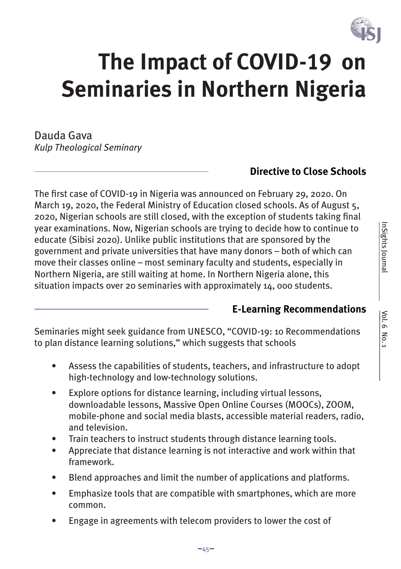

# **The Impact of COVID-19 on Seminaries in Northern Nigeria**

Dauda Gava *Kulp Theological Seminary*

### **Directive to Close Schools**

The first case of COVID-19 in Nigeria was announced on February 29, 2020. On March 19, 2020, the Federal Ministry of Education closed schools. As of August 5, 2020, Nigerian schools are still closed, with the exception of students taking final year examinations. Now, Nigerian schools are trying to decide how to continue to educate (Sibisi 2020). Unlike public institutions that are sponsored by the government and private universities that have many donors – both of which can move their classes online – most seminary faculty and students, especially in Northern Nigeria, are still waiting at home. In Northern Nigeria alone, this situation impacts over 20 seminaries with approximately 14, 000 students.

#### **E-Learning Recommendations**

Seminaries might seek guidance from UNESCO, "COVID-19: 10 Recommendations to plan distance learning solutions," which suggests that schools

- Assess the capabilities of students, teachers, and infrastructure to adopt high-technology and low-technology solutions.
- Explore options for distance learning, including virtual lessons, downloadable lessons, Massive Open Online Courses (MOOCs), ZOOM, mobile-phone and social media blasts, accessible material readers, radio, and television.
- Train teachers to instruct students through distance learning tools.
- Appreciate that distance learning is not interactive and work within that framework.
- Blend approaches and limit the number of applications and platforms.
- Emphasize tools that are compatible with smartphones, which are more common.
- Engage in agreements with telecom providers to lower the cost of

 $vol. 6 No. 1$ </u>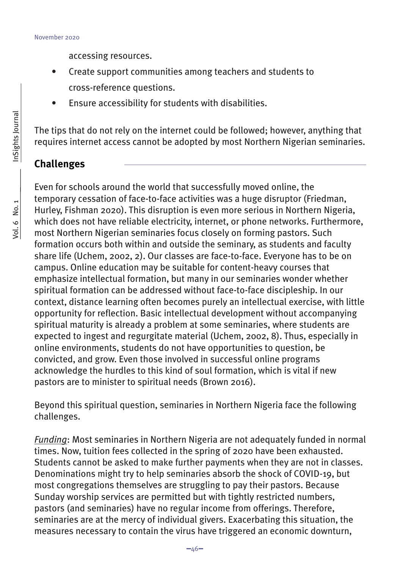accessing resources.

- Create support communities among teachers and students to cross-reference questions.
- Ensure accessibility for students with disabilities.

The tips that do not rely on the internet could be followed; however, anything that requires internet access cannot be adopted by most Northern Nigerian seminaries.

#### **Challenges**

Even for schools around the world that successfully moved online, the temporary cessation of face-to-face activities was a huge disruptor (Friedman, Hurley, Fishman 2020). This disruption is even more serious in Northern Nigeria, which does not have reliable electricity, internet, or phone networks. Furthermore, most Northern Nigerian seminaries focus closely on forming pastors. Such formation occurs both within and outside the seminary, as students and faculty share life (Uchem, 2002, 2). Our classes are face-to-face. Everyone has to be on campus. Online education may be suitable for content-heavy courses that emphasize intellectual formation, but many in our seminaries wonder whether spiritual formation can be addressed without face-to-face discipleship. In our context, distance learning often becomes purely an intellectual exercise, with little opportunity for reflection. Basic intellectual development without accompanying spiritual maturity is already a problem at some seminaries, where students are expected to ingest and regurgitate material (Uchem, 2002, 8). Thus, especially in online environments, students do not have opportunities to question, be convicted, and grow. Even those involved in successful online programs acknowledge the hurdles to this kind of soul formation, which is vital if new pastors are to minister to spiritual needs (Brown 2016).

Beyond this spiritual question, seminaries in Northern Nigeria face the following challenges.

*Funding*: Most seminaries in Northern Nigeria are not adequately funded in normal times. Now, tuition fees collected in the spring of 2020 have been exhausted. Students cannot be asked to make further payments when they are not in classes. Denominations might try to help seminaries absorb the shock of COVID-19, but most congregations themselves are struggling to pay their pastors. Because Sunday worship services are permitted but with tightly restricted numbers, pastors (and seminaries) have no regular income from offerings. Therefore, seminaries are at the mercy of individual givers. Exacerbating this situation, the measures necessary to contain the virus have triggered an economic downturn,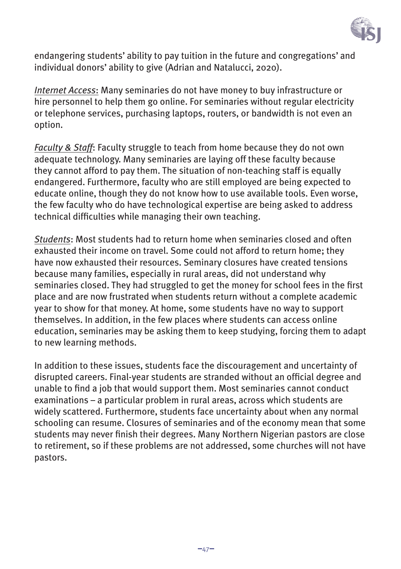

endangering students' ability to pay tuition in the future and congregations' and individual donors' ability to give (Adrian and Natalucci, 2020).

*Internet Access*: Many seminaries do not have money to buy infrastructure or hire personnel to help them go online. For seminaries without regular electricity or telephone services, purchasing laptops, routers, or bandwidth is not even an option.

*Faculty & Staff*: Faculty struggle to teach from home because they do not own adequate technology. Many seminaries are laying off these faculty because they cannot afford to pay them. The situation of non-teaching staff is equally endangered. Furthermore, faculty who are still employed are being expected to educate online, though they do not know how to use available tools. Even worse, the few faculty who do have technological expertise are being asked to address technical difficulties while managing their own teaching.

*Students*: Most students had to return home when seminaries closed and often exhausted their income on travel. Some could not afford to return home; they have now exhausted their resources. Seminary closures have created tensions because many families, especially in rural areas, did not understand why seminaries closed. They had struggled to get the money for school fees in the first place and are now frustrated when students return without a complete academic year to show for that money. At home, some students have no way to support themselves. In addition, in the few places where students can access online education, seminaries may be asking them to keep studying, forcing them to adapt to new learning methods.

In addition to these issues, students face the discouragement and uncertainty of disrupted careers. Final-year students are stranded without an official degree and unable to find a job that would support them. Most seminaries cannot conduct examinations – a particular problem in rural areas, across which students are widely scattered. Furthermore, students face uncertainty about when any normal schooling can resume. Closures of seminaries and of the economy mean that some students may never finish their degrees. Many Northern Nigerian pastors are close to retirement, so if these problems are not addressed, some churches will not have pastors.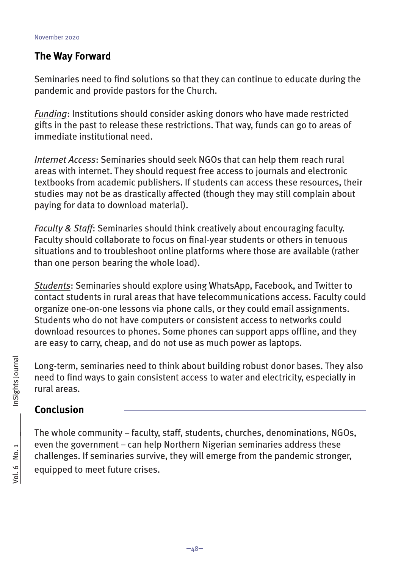#### **The Way Forward**

Seminaries need to find solutions so that they can continue to educate during the pandemic and provide pastors for the Church.

*Funding*: Institutions should consider asking donors who have made restricted gifts in the past to release these restrictions. That way, funds can go to areas of immediate institutional need.

*Internet Access*: Seminaries should seek NGOs that can help them reach rural areas with internet. They should request free access to journals and electronic textbooks from academic publishers. If students can access these resources, their studies may not be as drastically affected (though they may still complain about paying for data to download material).

*Faculty & Staff*: Seminaries should think creatively about encouraging faculty. Faculty should collaborate to focus on final-year students or others in tenuous situations and to troubleshoot online platforms where those are available (rather than one person bearing the whole load).

*Students*: Seminaries should explore using WhatsApp, Facebook, and Twitter to contact students in rural areas that have telecommunications access. Faculty could organize one-on-one lessons via phone calls, or they could email assignments. Students who do not have computers or consistent access to networks could download resources to phones. Some phones can support apps offline, and they are easy to carry, cheap, and do not use as much power as laptops.

Long-term, seminaries need to think about building robust donor bases. They also need to find ways to gain consistent access to water and electricity, especially in rural areas.

# **Conclusion**

The whole community – faculty, staff, students, churches, denominations, NGOs, even the government – can help Northern Nigerian seminaries address these challenges. If seminaries survive, they will emerge from the pandemic stronger, equipped to meet future crises.